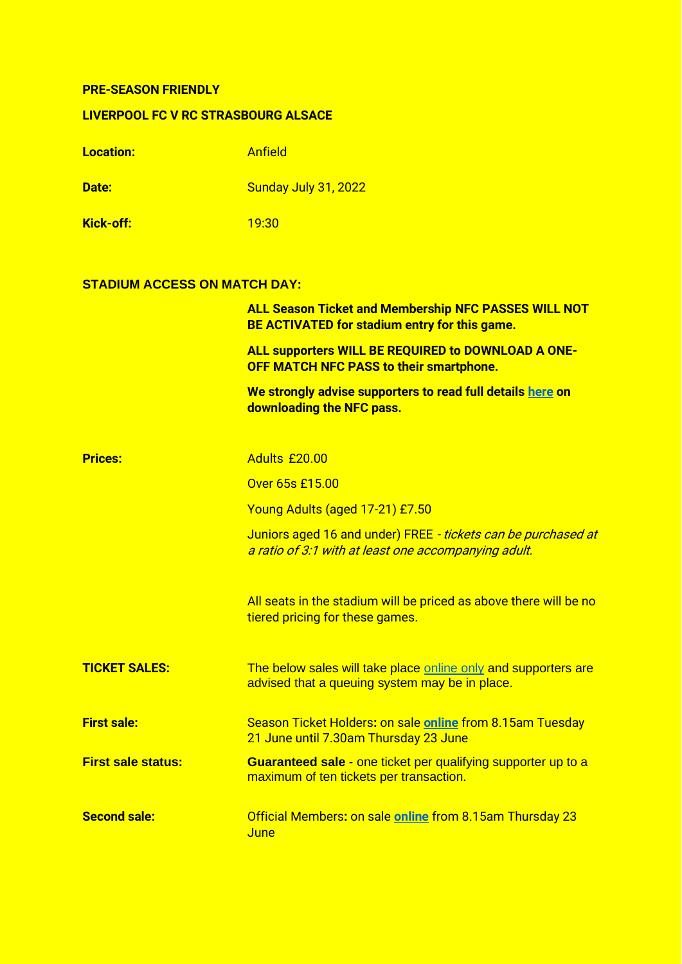## **PRE-SEASON FRIENDLY**

## **LIVERPOOL FC V RC STRASBOURG ALSACE**

| <b>Location:</b>                    | <b>Anfield</b>                                                                                                        |
|-------------------------------------|-----------------------------------------------------------------------------------------------------------------------|
| Date:                               | Sunday July 31, 2022                                                                                                  |
| <b>Kick-off:</b>                    | 19:30                                                                                                                 |
| <b>STADIUM ACCESS ON MATCH DAY:</b> |                                                                                                                       |
|                                     | <b>ALL Season Ticket and Membership NFC PASSES WILL NOT</b><br>BE ACTIVATED for stadium entry for this game.          |
|                                     | ALL supporters WILL BE REQUIRED to DOWNLOAD A ONE-<br><b>OFF MATCH NFC PASS to their smartphone.</b>                  |
|                                     | We strongly advise supporters to read full details here on<br>downloading the NFC pass.                               |
| <b>Prices:</b>                      | Adults £20.00                                                                                                         |
|                                     | Over 65s £15.00                                                                                                       |
|                                     | Young Adults (aged 17-21) £7.50                                                                                       |
|                                     | Juniors aged 16 and under) FREE - tickets can be purchased at<br>a ratio of 3:1 with at least one accompanying adult. |
|                                     | All seats in the stadium will be priced as above there will be no<br>tiered pricing for these games.                  |
| <b>TICKET SALES:</b>                | The below sales will take place online only and supporters are<br>advised that a queuing system may be in place.      |
| <b>First sale:</b>                  | Season Ticket Holders: on sale online from 8.15am Tuesday<br>21 June until 7.30am Thursday 23 June                    |
| <b>First sale status:</b>           | <b>Guaranteed sale - one ticket per qualifying supporter up to a</b><br>maximum of ten tickets per transaction.       |
| <b>Second sale:</b>                 | Official Members: on sale online from 8.15am Thursday 23<br>June                                                      |